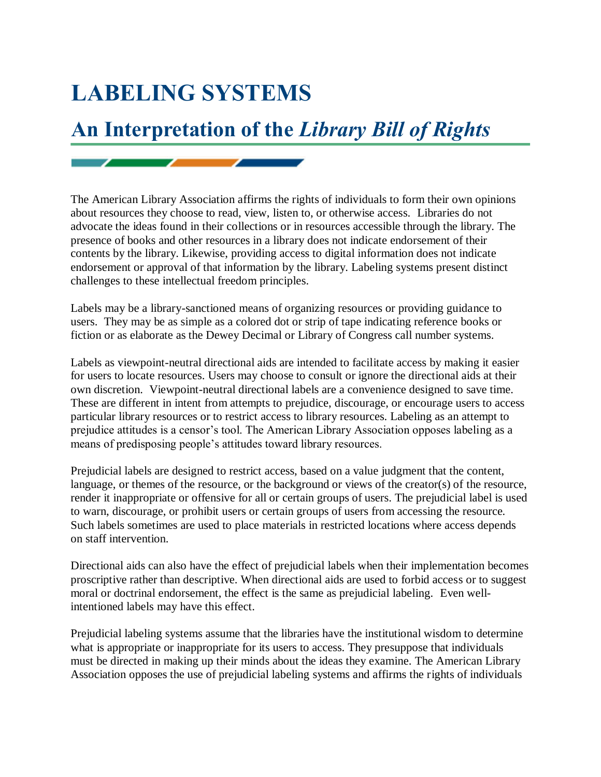## **LABELING SYSTEMS**

 $\sim$   $\sim$   $\sim$   $\sim$   $\sim$ 

## **An Interpretation of the** *Library Bill of Rights*

The American Library Association affirms the rights of individuals to form their own opinions about resources they choose to read, view, listen to, or otherwise access. Libraries do not advocate the ideas found in their collections or in resources accessible through the library. The presence of books and other resources in a library does not indicate endorsement of their contents by the library. Likewise, providing access to digital information does not indicate endorsement or approval of that information by the library. Labeling systems present distinct challenges to these intellectual freedom principles.

Labels may be a library-sanctioned means of organizing resources or providing guidance to users. They may be as simple as a colored dot or strip of tape indicating reference books or fiction or as elaborate as the Dewey Decimal or Library of Congress call number systems.

Labels as viewpoint-neutral directional aids are intended to facilitate access by making it easier for users to locate resources. Users may choose to consult or ignore the directional aids at their own discretion. Viewpoint-neutral directional labels are a convenience designed to save time. These are different in intent from attempts to prejudice, discourage, or encourage users to access particular library resources or to restrict access to library resources. Labeling as an attempt to prejudice attitudes is a censor's tool. The American Library Association opposes labeling as a means of predisposing people's attitudes toward library resources.

Prejudicial labels are designed to restrict access, based on a value judgment that the content, language, or themes of the resource, or the background or views of the creator(s) of the resource, render it inappropriate or offensive for all or certain groups of users. The prejudicial label is used to warn, discourage, or prohibit users or certain groups of users from accessing the resource. Such labels sometimes are used to place materials in restricted locations where access depends on staff intervention.

Directional aids can also have the effect of prejudicial labels when their implementation becomes proscriptive rather than descriptive. When directional aids are used to forbid access or to suggest moral or doctrinal endorsement, the effect is the same as prejudicial labeling. Even wellintentioned labels may have this effect.

Prejudicial labeling systems assume that the libraries have the institutional wisdom to determine what is appropriate or inappropriate for its users to access. They presuppose that individuals must be directed in making up their minds about the ideas they examine. The American Library Association opposes the use of prejudicial labeling systems and affirms the rights of individuals